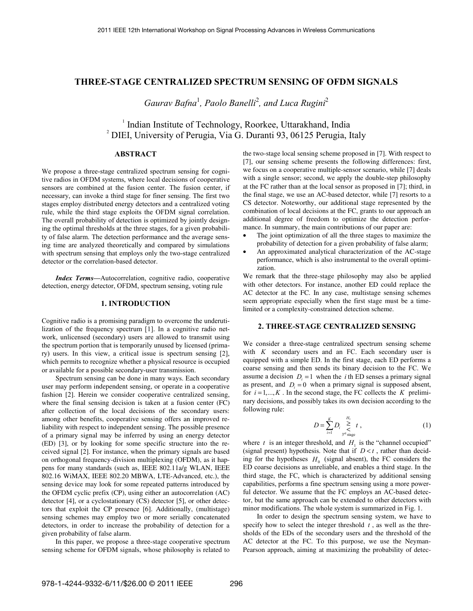# **THREE-STAGE CENTRALIZED SPECTRUM SENSING OF OFDM SIGNALS**

Gaurav Bafna<sup>1</sup>, Paolo Banelli<sup>2</sup>, and Luca Rugini<sup>2</sup>

<sup>1</sup> Indian Institute of Technology, Roorkee, Uttarakhand, India <sup>2</sup> DIEI, University of Perugia, Via G. Duranti 93, 06125 Perugia, Italy

# **ABSTRACT**

We propose a three-stage centralized spectrum sensing for cognitive radios in OFDM systems, where local decisions of cooperative sensors are combined at the fusion center. The fusion center, if necessary, can invoke a third stage for finer sensing. The first two stages employ distributed energy detectors and a centralized voting rule, while the third stage exploits the OFDM signal correlation. The overall probability of detection is optimized by jointly designing the optimal thresholds at the three stages, for a given probability of false alarm. The detection performance and the average sensing time are analyzed theoretically and compared by simulations with spectrum sensing that employs only the two-stage centralized detector or the correlation-based detector.

*Index Terms—*Autocorrelation, cognitive radio, cooperative detection, energy detector, OFDM, spectrum sensing, voting rule

### **1. INTRODUCTION**

Cognitive radio is a promising paradigm to overcome the underutilization of the frequency spectrum [1]. In a cognitive radio network, unlicensed (secondary) users are allowed to transmit using the spectrum portion that is temporarily unused by licensed (primary) users. In this view, a critical issue is spectrum sensing [2], which permits to recognize whether a physical resource is occupied or available for a possible secondary-user transmission.

Spectrum sensing can be done in many ways. Each secondary user may perform independent sensing, or operate in a cooperative fashion [2]. Herein we consider cooperative centralized sensing, where the final sensing decision is taken at a fusion center (FC) after collection of the local decisions of the secondary users: among other benefits, cooperative sensing offers an improved reliability with respect to independent sensing. The possible presence of a primary signal may be inferred by using an energy detector (ED) [3], or by looking for some specific structure into the received signal [2]. For instance, when the primary signals are based on orthogonal frequency-division multiplexing (OFDM), as it happens for many standards (such as, IEEE 802.11a/g WLAN, IEEE 802.16 WiMAX, IEEE 802.20 MBWA, LTE-Advanced, etc.), the sensing device may look for some repeated patterns introduced by the OFDM cyclic prefix (CP), using either an autocorrelation (AC) detector [4], or a cyclostationary (CS) detector [5], or other detectors that exploit the CP presence [6]. Additionally, (multistage) sensing schemes may employ two or more serially concatenated detectors, in order to increase the probability of detection for a given probability of false alarm.

In this paper, we propose a three-stage cooperative spectrum sensing scheme for OFDM signals, whose philosophy is related to the two-stage local sensing scheme proposed in [7]. With respect to [7], our sensing scheme presents the following differences: first, we focus on a cooperative multiple-sensor scenario, while [7] deals with a single sensor; second, we apply the double-step philosophy at the FC rather than at the local sensor as proposed in [7]; third, in the final stage, we use an AC-based detector, while [7] resorts to a CS detector. Noteworthy, our additional stage represented by the combination of local decisions at the FC, grants to our approach an additional degree of freedom to optimize the detection performance. In summary, the main contributions of our paper are:

- The joint optimization of all the three stages to maximize the probability of detection for a given probability of false alarm;
- An approximated analytical characterization of the AC-stage performance, which is also instrumental to the overall optimization.

We remark that the three-stage philosophy may also be applied with other detectors. For instance, another ED could replace the AC detector at the FC. In any case, multistage sensing schemes seem appropriate especially when the first stage must be a timelimited or a complexity-constrained detection scheme.

### **2. THREE-STAGE CENTRALIZED SENSING**

We consider a three-stage centralized spectrum sensing scheme with *K* secondary users and an FC. Each secondary user is equipped with a simple ED. In the first stage, each ED performs a coarse sensing and then sends its binary decision to the FC. We assume a decision  $D_i = 1$  when the *i* th ED senses a primary signal as present, and  $D_i = 0$  when a primary signal is supposed absent, for  $i = 1, ..., K$ . In the second stage, the FC collects the *K* preliminary decisions, and possibly takes its own decision according to the following rule:

$$
D = \sum_{i=1}^{K} D_i \sum_{\substack{2 \text{ odd} \\ 3^{rd} \text{ stage}}}^{H_1}, \tag{1}
$$

where  $t$  is an integer threshold, and  $H_1$  is the "channel occupied" (signal present) hypothesis. Note that if  $D \lt t$ , rather than deciding for the hypotheses  $H_0$  (signal absent), the FC considers the ED coarse decisions as unreliable, and enables a third stage. In the third stage, the FC, which is characterized by additional sensing capabilities, performs a fine spectrum sensing using a more powerful detector. We assume that the FC employs an AC-based detector, but the same approach can be extended to other detectors with minor modifications. The whole system is summarized in Fig. 1.

In order to design the spectrum sensing system, we have to specify how to select the integer threshold *t* , as well as the thresholds of the EDs of the secondary users and the threshold of the AC detector at the FC. To this purpose, we use the Neyman-Pearson approach, aiming at maximizing the probability of detec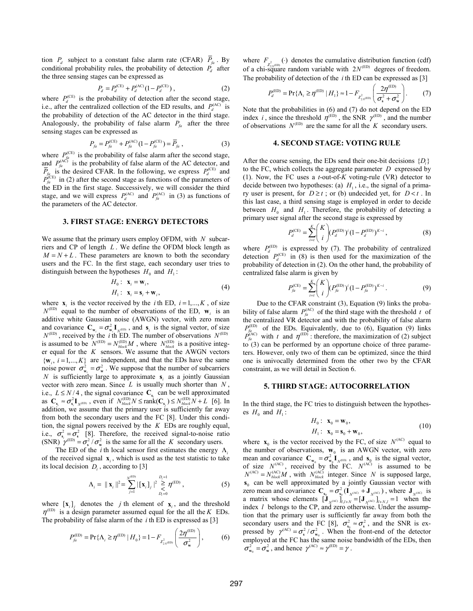tion  $P_d$  subject to a constant false alarm rate (CFAR)  $\overline{P}_6$ . By conditional probability rules, the probability of detection  $P_d$  after the three sensing stages can be expressed as

$$
P_d = P_d^{\text{(CE)}} + P_d^{\text{(AC)}} (1 - P_d^{\text{(CE)}}) \,, \tag{2}
$$

where  $P_d^{\text{(CE)}}$  is the probability of detection after the second stage, i.e., after the centralized collection of the ED results, and  $P_d^{(AC)}$  is the probability of detection of the AC detector in the third stage. Analogously, the probability of false alarm  $P<sub>fa</sub>$  after the three sensing stages can be expressed as

$$
P_{fa} = P_{fa}^{(CE)} + P_{fa}^{(AC)} (1 - P_{fa}^{(CE)}) = \overline{P}_{fa} \tag{3}
$$

where  $P_{fa}^{(CE)}$  is the probability of false alarm after the second stage, and  $P_{fa}^{(AC)}$  is the probability of false alarm of the AC detector, and  $\overline{P}_{fa}$  is the desired CFAR. In the following, we express  $P_d^{\text{(CE)}}$  and  $\hat{P}_{fa}^{(CE)}$  in (2) after the second stage as functions of the parameters of the ED in the first stage. Successively, we will consider the third stage, and we will express  $P_d^{(AC)}$  and  $P_f^{(AC)}$  in (3) as functions of the parameters of the AC detector.

#### **3. FIRST STAGE: ENERGY DETECTORS**

We assume that the primary users employ OFDM, with *N* subcarriers and CP of length *L* . We define the OFDM block length as  $M = N + L$ . These parameters are known to both the secondary users and the FC. In the first stage, each secondary user tries to distinguish between the hypotheses  $H_0$  and  $H_1$ :

$$
H_0: \mathbf{x}_i = \mathbf{w}_i, H_1: \mathbf{x}_i = \mathbf{s}_i + \mathbf{w}_i,
$$
 (4)

where  $\mathbf{x}_i$  is the vector received by the *i* th ED,  $i = 1, ..., K$ , of size  $N^{\text{(ED)}}$  equal to the number of observations of the ED,  $\mathbf{w}_i$  is an additive white Gaussian noise (AWGN) vector, with zero mean and covariance  $\mathbf{C}_{\mathbf{w}_i} = \sigma_{\mathbf{w}_i}^2 \mathbf{I}_{N^{(\text{ED})}}$ , and  $\mathbf{s}_i$  is the signal vector, of size  $N^{(\text{ED})}$ , received by the *i* th ED. The number of observations  $N^{(\text{ED})}$ is assumed to be  $N^{\text{(ED)}} = N^{\text{(ED)}}_{block} M$ , where  $N^{\text{(ED)}}_{block}$  is a positive integer equal for the *K* sensors. We assume that the AWGN vectors  $\{$ mathbf{w}\_i, i = 1,..., K\} are independent, and that the EDs have the same noise power  $\sigma_{w_i}^2 = \sigma_w^2$ . We suppose that the number of subcarriers *N* is sufficiently large to approximate  $s_i$  as a jointly Gaussian vector with zero mean. Since *L* is usually much shorter than *N* , i.e.,  $L \leq N/4$ , the signal covariance  $C_s$  can be well approximated as  $C_{s_i} \approx \sigma_{s_i}^2 I_{N^{(ED)}}$ , even if  $N_{block}^{(ED)} N \le \text{rank}(C_{s_i}) \le N_{block}^{(ED)} N + L$  [6]. In addition, we assume that the primary user is sufficiently far away from both the secondary users and the FC [8]. Under this condition, the signal powers received by the *K* EDs are roughly equal, i.e.,  $\sigma_{s_i}^2 = \sigma_s^2$  [8]. Therefore, the received signal-to-noise ratio (SNR)  $\gamma^{(ED)} = \sigma_s^2 / \sigma_w^2$  is the same for all the *K* secondary users.

The ED of the *i* th local sensor first estimates the energy  $\Lambda_i$ of the received signal  $\mathbf{x}_i$ , which is used as the test statistic to take its local decision  $D_i$ , according to [3]

$$
\Lambda_{i} = \|\mathbf{x}_{i}\|^{2} = \sum_{j=1}^{N^{(\text{ED})}} |\[\mathbf{x}_{i}\]_{j} \mid^{2} \sum_{\substack{0 \leq j \leq N}}^{D_{j}=1} \eta^{(\text{ED})}, \tag{5}
$$

where  $\begin{bmatrix} \mathbf{x}_i \end{bmatrix}$  denotes the *j* th element of  $\mathbf{x}_i$ , and the threshold  $\eta^{\text{(ED)}}$  is a design parameter assumed equal for the all the *K* EDs. The probability of false alarm of the *i* th ED is expressed as [3]

$$
P_{j_a}^{(\text{ED})} = \Pr\{\Lambda_i \ge \eta^{(\text{ED})} \mid H_0\} = 1 - F_{\chi^2_{2\pi^{(\text{ED})}}} \left(\frac{2\eta^{(\text{ED})}}{\sigma_w^2}\right),\tag{6}
$$

where  $F_{\chi^2_{2N^{(ED)}}}(t)$  denotes the cumulative distribution function (cdf) of a chi-square random variable with  $2N^{\text{(ED)}}$  degrees of freedom. The probability of detection of the *i* th ED can be expressed as [3]

$$
P_d^{(\text{ED})} = \Pr\{\Lambda_i \ge \eta^{(\text{ED})} \mid H_1\} \approx 1 - F_{\chi^2_{2N^{(\text{ED})}}} \left(\frac{2\eta^{(\text{ED})}}{\sigma_s^2 + \sigma_w^2}\right). \tag{7}
$$

Note that the probabilities in (6) and (7) do not depend on the ED index *i*, since the threshold  $\eta^{\text{(ED)}}$ , the SNR  $\gamma^{\text{(ED)}}$ , and the number of observations  $N^{\text{(ED)}}$  are the same for all the *K* secondary users.

#### **4. SECOND STAGE: VOTING RULE**

After the coarse sensing, the EDs send their one-bit decisions  $\{D_i\}$ to the FC, which collects the aggregate parameter *D* expressed by (1). Now, the FC uses a *t*-out-of-*K* voting-rule (VR) detector to decide between two hypotheses: (a)  $H<sub>1</sub>$ , i.e., the signal of a primary user is present, for  $D \ge t$ ; or (b) undecided yet, for  $D \lt t$ . In this last case, a third sensing stage is employed in order to decide between  $H_0$  and  $H_1$ . Therefore, the probability of detecting a primary user signal after the second stage is expressed by

$$
P_d^{(CE)} = \sum_{i=t}^{K} {K \choose i} (P_d^{(ED)})^i (1 - P_d^{(ED)})^{K-i} , \qquad (8)
$$

where  $P_d^{\text{(ED)}}$  is expressed by (7). The probability of centralized detection  $P_d^{\text{(CE)}}$  in (8) is then used for the maximization of the probability of detection in (2). On the other hand, the probability of centralized false alarm is given by

$$
P_{j_a}^{(\text{CE})} = \sum_{i=t}^{K} {K \choose i} (P_{j_a}^{(\text{ED})})^i (1 - P_{j_a}^{(\text{ED})})^{K-i} . \tag{9}
$$

Due to the CFAR constraint (3), Equation (9) links the probability of false alarm  $P_{fa}^{(AC)}$  of the third stage with the threshold *t* of the centralized VR detector and with the probability of false alarm  $P_{fa}^{(ED)}$  of the EDs. Equivalently, due to (6), Equation (9) links  $P_{\text{fa}}^{(\text{AC})}$  with *t* and  $\eta^{(\text{ED})}$ : therefore, the maximization of (2) subject to (3) can be performed by an opportune choice of three parameters. However, only two of them can be optimized, since the third one is univocally determined from the other two by the CFAR constraint, as we will detail in Section 6.

#### **5. THIRD STAGE: AUTOCORRELATION**

In the third stage, the FC tries to distinguish between the hypotheses  $H_0$  and  $H_1$ :

$$
H_0: \mathbf{x}_0 = \mathbf{w}_0,
$$
  
\n
$$
H_1: \mathbf{x}_0 = \mathbf{s}_0 + \mathbf{w}_0,
$$
\n(10)

where  $\mathbf{x}_0$  is the vector received by the FC, of size  $N^{(AC)}$  equal to the number of observations,  $\mathbf{w}_0$  is an AWGN vector, with zero mean and covariance  $\mathbf{C}_{\mathbf{w}_0} = \sigma_{\mathbf{w}_0}^2 \mathbf{I}_{N^{(\text{ED})}}$ , and  $\mathbf{s}_0$  is the signal vector, of size  $N^{(\text{AC})}$ , received by the FC.  $N^{(\text{AC})}$  is assumed to be  $N^{(AC)} = N_{block}^{(AC)} M$ , with  $N_{block}^{(AC)}$  integer. Since *N* is supposed large,  $s<sub>0</sub>$  can be well approximated by a jointly Gaussian vector with zero mean and covariance  $C_{s_0} = \sigma_{s_0}^2 (I_{N^{(AC)}} + J_{N^{(AC)}})$ , where  $J_{N^{(AC)}}$  is a matrix whose elements  $[\mathbf{J}_{N^{(AC)}}]_{l,l+N} = [\mathbf{J}_{N^{(AC)}}]_{l+N,l} = 1$  when the index *l* belongs to the CP, and zero otherwise. Under the assumption that the primary user is sufficiently far away from both the secondary users and the FC [8],  $\sigma_{s_0}^2 \approx \sigma_s^2$ , and the SNR is expressed by  $\gamma^{(AC)} = \sigma_s^2 / \sigma_{w_0}^2$ . When the front-end of the detector employed at the FC has the same noise bandwidth of the EDs, then  $\sigma_{w_0}^2 = \sigma_w^2$ , and hence  $\gamma^{(AC)} \approx \gamma^{(ED)} = \gamma$ .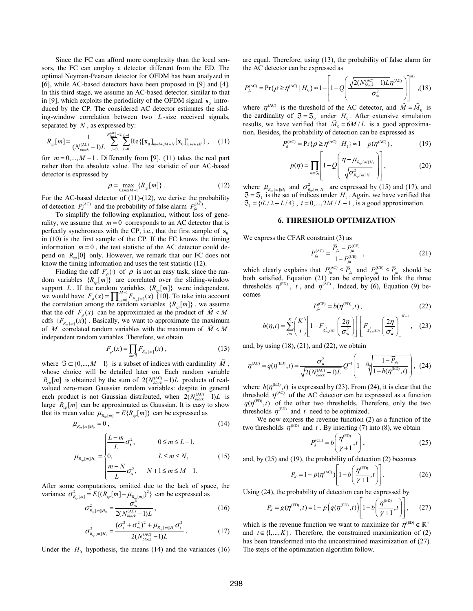Since the FC can afford more complexity than the local sensors, the FC can employ a detector different from the ED. The optimal Neyman-Pearson detector for OFDM has been analyzed in [6], while AC-based detectors have been proposed in [9] and [4]. In this third stage, we assume an AC-based detector, similar to that in [9], which exploits the periodicity of the OFDM signal  $s_0$  introduced by the CP. The considered AC detector estimates the sliding-window correlation between two *L* -size received signals, separated by *N* , as expressed by:

$$
R_{cp}[m] = \frac{1}{(N_{block}^{(\text{AC})} - 1)L} \sum_{j=0}^{N_{block}^{(\text{AC})} - 2} \sum_{l=0}^{L-1} \text{Re}\{[\mathbf{x}_{0}]_{m+l+jM+N}[\mathbf{x}_{0}]_{m+l+jM}^{*}\}, \quad (11)
$$

for  $m = 0, ..., M - 1$ . Differently from [9], (11) takes the real part rather than the absolute value. The test statistic of our AC-based detector is expressed by

$$
\rho = \max_{0 \le m \le M-1} \{ R_{cp}[m] \} . \tag{12}
$$

For the AC-based detector of (11)-(12), we derive the probability of detection  $P_d^{(AC)}$  and the probability of false alarm  $P_d^{(AC)}$ .

To simplify the following explanation, without loss of generality, we assume that  $m = 0$  corresponds to an AC detector that is perfectly synchronous with the CP, i.e., that the first sample of  $\mathbf{s}_0$ in (10) is the first sample of the CP. If the FC knows the timing information  $m = 0$ , the test statistic of the AC detector could depend on  $R_{n}$  [0] only. However, we remark that our FC does not know the timing information and uses the test statistic (12).

Finding the cdf  $F_o(\cdot)$  of  $\rho$  is not an easy task, since the random variables  $\{R_{cp}[m]\}$  are correlated over the sliding-window support *L*. If the random variables  $\{R_{cp}[m]\}$  were independent, we would have  $F_{\rho}(x) = \prod_{m=0}^{M-1} F_{R_{cp}[m]}(x)$  [10]. To take into account the correlation among the random variables  $\{R_{cp}[m]\}\$ , we assume that the cdf  $F_o(x)$  can be approximated as the product of  $M < M$ cdfs  ${F_{R_m[m]}(x)}$ . Basically, we want to approximate the maximum of *M* correlated random variables with the maximum of  $\tilde{M} < M$ independent random variables. Therefore, we obtain

$$
F_{\rho}(x) = \prod_{m \in \mathfrak{I}} F_{R_{cp}[m]}(x) , \qquad (13)
$$

where  $\Im \subset \{0, ..., M-1\}$  is a subset of indices with cardinality *M*, whose choice will be detailed later on. Each random variable  $R_{cp}[m]$  is obtained by the sum of  $2(N_{block}^{(AC)} - 1)L$  products of realvalued zero-mean Gaussian random variables: despite in general each product is not Gaussian distributed, when  $2(N_{block}^{(AC)} - 1)L$  is large  $R_m[m]$  can be approximated as Gaussian. It is easy to show that its mean value  $\mu_{R_{\text{cm}}[m]} = E\{ R_{\text{cp}}[m] \}$  can be expressed as

$$
\mu_{R_{cp}[m]H_0} = 0 \,, \tag{14}
$$

$$
\mu_{R_{\varphi}[m]|H_1} = \begin{cases}\n\frac{L-m}{L}\sigma_s^2, & 0 \le m \le L-1, \\
0, & L \le m \le N, \\
\frac{m-N}{L}\sigma_s^2, & N+1 \le m \le M-1.\n\end{cases}
$$
\n(15)

After some computations, omitted due to the lack of space, the variance  $\sigma_{R_{cp}[m]}^2 = E\{(R_{cp}[m] - \mu_{R_{cp}[m]})^2\}$  can be expressed as

$$
\sigma_{R_{cp}[m]H_0}^2 = \frac{\sigma_w^4}{2(N_{block}^{(\text{AC})} - 1)L},
$$
\n(16)

$$
\sigma_{R_{sp}[m]|H_1}^2 = \frac{(\sigma_s^2 + \sigma_w^2)^2 + \mu_{R_{sp}[m]|H_1}\sigma_s^2}{2(N_{block}^{(AC)} - 1)L}.
$$
 (17)

Under the  $H_0$  hypothesis, the means (14) and the variances (16)

are equal. Therefore, using (13), the probability of false alarm for the AC detector can be expressed as

$$
P_{fa}^{(AC)} = \Pr\{\rho \ge \eta^{(AC)} \mid H_0\} \approx 1 - \left[1 - Q \left(\frac{\sqrt{2(N_{block}^{(AC)} - 1)L}\eta^{(AC)}}{\sigma_w^2}\right)\right]^{M_0}, (18)
$$

where  $\eta^{(AC)}$  is the threshold of the AC detector, and  $\tilde{M} = \tilde{M}_{0}$  is the cardinality of  $\Im = \Im_0$  under *H*<sub>0</sub>. After extensive simulation results, we have verified that  $M_0 = 6M / L$  is a good approximation. Besides, the probability of detection can be expressed as

$$
P_d^{(AC)} = Pr\{\rho \ge \eta^{(AC)} | H_1\} \approx 1 - p(\eta^{(AC)}), \tag{19}
$$

$$
p(\eta) = \prod_{m \in S_1} \left[ 1 - Q\left( \frac{\eta - \mu_{R_{op}[m]H_1}}{\sqrt{\sigma_{R_{op}[m]H_1}}^2} \right) \right],
$$
 (20)

where  $\mu_{R_{cp}[m][H_1]}$  and  $\sigma_{R_{cp}[m][H_1]}^2$  are expressed by (15) and (17), and  $\mathfrak{S} = \mathfrak{S}_1$  is the set of indices under *H*<sub>1</sub>. Again, we have verified that  $\mathfrak{S}_1 = \{ iL/2 + L/4 \}$ ,  $i = 0, ..., 2M/L - 1$ , is a good approximation.

#### **6. THRESHOLD OPTIMIZATION**

We express the CFAR constraint (3) as

$$
P_{f_a}^{(AC)} = \frac{\overline{P}_{f_a} - P_{f_a}^{(CE)}}{1 - P_{f_a}^{(CE)}},
$$
\n(21)

which clearly explains that  $P_{fa}^{(AC)} \le \overline{P}_{fa}$  and  $P_{fa}^{(CE)} \le \overline{P}_{fa}$  should be both satisfied. Equation (21) can be employed to link the three thresholds  $\eta^{(ED)}$ , *t*, and  $\eta^{(AC)}$ . Indeed, by (6), Equation (9) becomes

$$
P_{f_a}^{\rm (CE)} = b(\eta^{\rm (ED)}, t) \,, \tag{22}
$$

$$
b(\eta, t) = \sum_{i=1}^{K} {K \choose i} \left[ 1 - F_{\chi^2_{2N^{(\text{ED})}}} \left( \frac{2\eta}{\sigma_w^2} \right) \right] \left[ F_{\chi^2_{2N^{(\text{ED})}}} \left( \frac{2\eta}{\sigma_w^2} \right) \right]^{K-i}, \quad (23)
$$

and, by using  $(18)$ ,  $(21)$ , and  $(22)$ , we obtain

$$
\eta^{\text{(AC)}} = q(\eta^{\text{(ED)}}, t) = \frac{\sigma_{\text{w}}^2}{\sqrt{2(N_{block}^{\text{(AC)}} - 1)L}} Q^{-1} \left( 1 - \frac{\tilde{M}_0}{\sqrt{1 - b(\eta^{\text{(ED)}}}, t)} \right), (24)
$$

where  $b(\eta^{\text{(ED)}}, t)$  is expressed by (23). From (24), it is clear that the threshold  $\eta^{(AC)}$  of the AC detector can be expressed as a function  $q(\eta^{\text{(ED)}},t)$  of the other two thresholds. Therefore, only the two thresholds  $\eta^{\text{(ED)}}$  and *t* need to be optimized.

We now express the revenue function (2) as a function of the two thresholds  $\eta^{\text{(ED)}}$  and *t*. By inserting (7) into (8), we obtain

$$
P_d^{\text{(CE)}} = b \left( \frac{\eta^{\text{(ED)}}}{\gamma + 1}, t \right),\tag{25}
$$

and, by (25) and (19), the probability of detection (2) becomes

$$
P_d = 1 - p(\eta^{\text{(AC)}}) \left[ 1 - b \left( \frac{\eta^{\text{(ED)}}}{\gamma + 1}, t \right) \right].
$$
 (26)

Using (24), the probability of detection can be expressed by

$$
P_d = g(\eta^{\text{(ED)}}, t) = 1 - p\left(q(\eta^{\text{(ED)}}, t)\right) \left[1 - b\left(\frac{\eta^{\text{(ED)}}}{\gamma + 1}, t\right)\right],\tag{27}
$$

which is the revenue function we want to maximize for  $\eta^{(ED)} \in \mathbb{R}^+$ and  $t \in \{1, ..., K\}$ . Therefore, the constrained maximization of (2) has been transformed into the unconstrained maximization of (27). The steps of the optimization algorithm follow.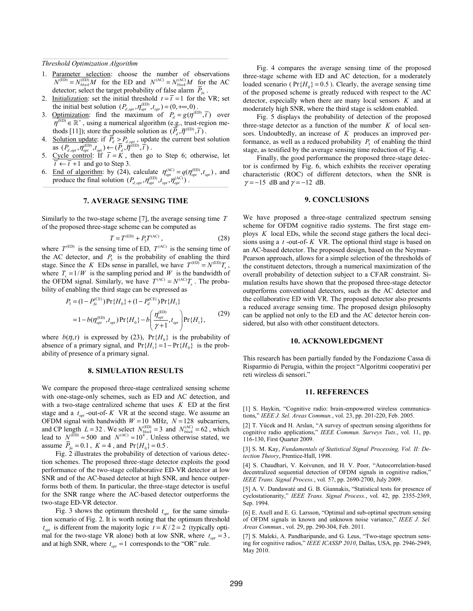*Threshold Optimization Algorithm* 

- 1. Parameter selection: choose the number of observations  $N^{(ED)} = N_{block}^{(ED)}M$  for the ED and  $N^{(AC)} = N_{block}^{(AC)}M$  for the AC detector; select the target probability of false alarm  $\overline{P}_6$ .
- 2. Initialization: set the initial threshold  $t = \overline{t} = 1$  for the VR; set the initial best solution  $(P_{d,opt}, \eta_{opt}^{(ED)}, t_{opt}) = (0, +\infty, 0)$ .
- 3. Optimization: find the maximum of  $P_d = g(\eta^{(\text{ED})}, \overline{t})$  over  $\eta^{(\text{ED})} \in \mathbb{R}^+$ , using a numerical algorithm (e.g., trust-region methods [11]); store the possible solution as  $(\overline{P}_d, \overline{\eta}^{\text{(ED)}}, \overline{t})$ .
- 4. Solution update: if  $P_d > P_{d, opt}$ , update the current best solution as  $(P_{d,opt}, \eta_{opt}^{(ED)}, t_{opt}) \leftarrow (\overline{P}_d, \overline{\eta}^{(ED)}, \overline{t})$ .
- 5. Cycle control: If  $\bar{t} = K$ , then go to Step 6; otherwise, let  $\overline{t} \leftarrow \overline{t} + 1$  and go to Step 3.
- 6. End of algorithm: by (24), calculate  $\eta_{opt}^{(AC)} = q(\eta_{opt}^{(ED)}, t_{opt})$ , and produce the final solution  $(P_{d, opt}, \eta_{opt}^{\text{(ED)}}, t_{opt}, \eta_{opt}^{\text{(AC)}})$ .

## **7. AVERAGE SENSING TIME**

Similarly to the two-stage scheme [7], the average sensing time *T* of the proposed three-stage scheme can be computed as

$$
T = T^{\text{(ED)}} + P_3 T^{\text{(AC)}},\tag{28}
$$

where  $T^{(ED)}$  is the sensing time of ED,  $T^{(AC)}$  is the sensing time of the AC detector, and  $P_3$  is the probability of enabling the third stage. Since the *K* EDs sense in parallel, we have  $T^{(ED)} = N^{(ED)}T_s$ , where  $T_c = 1/W$  is the sampling period and *W* is the bandwidth of the OFDM signal. Similarly, we have  $T^{(AC)} = N^{(AC)} T_s$ . The probability of enabling the third stage can be expressed as

$$
P_3 = (1 - P_{fa}^{(\text{CE})}) \Pr\{H_0\} + (1 - P_d^{(\text{CE})}) \Pr\{H_1\}
$$
  
= 1 - b(\eta\_{opt}^{(\text{ED})}, t\_{opt}) \Pr\{H\_0\} - b\left(\frac{\eta\_{opt}^{(\text{ED})}}{\gamma + 1}, t\_{opt}\right) \Pr\{H\_1\}, (29)

where  $b(\eta, t)$  is expressed by (23),  $Pr{H_0}$  is the probability of absence of a primary signal, and  $Pr{H_1} = 1 - Pr{H_0}$  is the probability of presence of a primary signal.

#### **8. SIMULATION RESULTS**

We compare the proposed three-stage centralized sensing scheme with one-stage-only schemes, such as ED and AC detection, and with a two-stage centralized scheme that uses *K* ED at the first stage and a  $t_{opt}$ -out-of- K VR at the second stage. We assume an OFDM signal with bandwidth  $W = 10$  MHz,  $N = 128$  subcarriers, and CP length  $L = 32$ . We select  $N_{block}^{(ED)} = 3$  and  $N_{block}^{(AC)} = 62$ , which lead to  $N^{(\text{ED})} \approx 500$  and  $N^{(\text{AC})} \approx 10^{4}$ . Unless otherwise stated, we assume  $\overline{P}_{fa} = 0.1$ ,  $K = 4$ , and  $Pr{H_0} = 0.5$ .

Fig. 2 illustrates the probability of detection of various detection schemes. The proposed three-stage detector exploits the good performance of the two-stage collaborative ED-VR detector at low SNR and of the AC-based detector at high SNR, and hence outperforms both of them. In particular, the three-stage detector is useful for the SNR range where the AC-based detector outperforms the two-stage ED-VR detector.

Fig. 3 shows the optimum threshold  $t_{opt}$  for the same simulation scenario of Fig. 2. It is worth noting that the optimum threshold  $t_{opt}$  is different from the majority logic  $t = K/2 = 2$  (typically optimal for the two-stage VR alone) both at low SNR, where  $t_{opt} = 3$ , and at high SNR, where  $t_{opt} = 1$  corresponds to the "OR" rule.

Fig. 4 compares the average sensing time of the proposed three-stage scheme with ED and AC detection, for a moderately loaded scenario ( $Pr{H_0} = 0.5$ ). Clearly, the average sensing time of the proposed scheme is greatly reduced with respect to the AC detector, especially when there are many local sensors *K* and at moderately high SNR, where the third stage is seldom enabled.

Fig. 5 displays the probability of detection of the proposed three-stage detector as a function of the number  $K$  of local sensors. Undoubtedly, an increase of *K* produces an improved performance, as well as a reduced probability  $P_3$  of enabling the third stage, as testified by the average sensing time reduction of Fig. 4.

Finally, the good performance the proposed three-stage detector is confirmed by Fig. 6, which exhibits the receiver operating characteristic (ROC) of different detectors, when the SNR is  $\gamma = -15$  dB and  $\gamma = -12$  dB.

### **9. CONCLUSIONS**

We have proposed a three-stage centralized spectrum sensing scheme for OFDM cognitive radio systems. The first stage employs *K* local EDs, while the second stage gathers the local decisions using a *t* -out-of- *K* VR. The optional third stage is based on an AC-based detector. The proposed design, based on the Neyman-Pearson approach, allows for a simple selection of the thresholds of the constituent detectors, through a numerical maximization of the overall probability of detection subject to a CFAR constraint. Simulation results have shown that the proposed three-stage detector outperforms conventional detectors, such as the AC detector and the collaborative ED with VR. The proposed detector also presents a reduced average sensing time. The proposed design philosophy can be applied not only to the ED and the AC detector herein considered, but also with other constituent detectors.

#### **10. ACKNOWLEDGMENT**

This research has been partially funded by the Fondazione Cassa di Risparmio di Perugia, within the project "Algoritmi cooperativi per reti wireless di sensori."

#### **11. REFERENCES**

[1] S. Haykin, "Cognitive radio: brain-empowered wireless communications," *IEEE J. Sel. Areas Commun.*, vol. 23, pp. 201-220, Feb. 2005.

[2] T. Yücek and H. Arslan, "A survey of spectrum sensing algorithms for cognitive radio applications," *IEEE Commun. Surveys Tuts.*, vol. 11, pp. 116-130, First Quarter 2009.

[3] S. M. Kay, *Fundamentals of Statistical Signal Processing, Vol. II: Detection Theory*, Prentice-Hall, 1998.

[4] S. Chaudhari, V. Koivunen, and H. V. Poor, "Autocorrelation-based decentralized sequential detection of OFDM signals in cognitive radios,' *IEEE Trans. Signal Process.*, vol. 57, pp. 2690-2700, July 2009.

[5] A. V. Dandawaté and G. B. Giannakis, "Statistical tests for presence of cyclostationarity," *IEEE Trans. Signal Process.*, vol. 42, pp. 2355-2369, Sep. 1994.

[6] E. Axell and E. G. Larsson, "Optimal and sub-optimal spectrum sensing of OFDM signals in known and unknown noise variance," *IEEE J. Sel. Areas Commun.*, vol. 29, pp. 290-304, Feb. 2011.

[7] S. Maleki, A. Pandharipande, and G. Leus, "Two-stage spectrum sensing for cognitive radios," *IEEE ICASSP 2010*, Dallas, USA, pp. 2946-2949, May 2010.